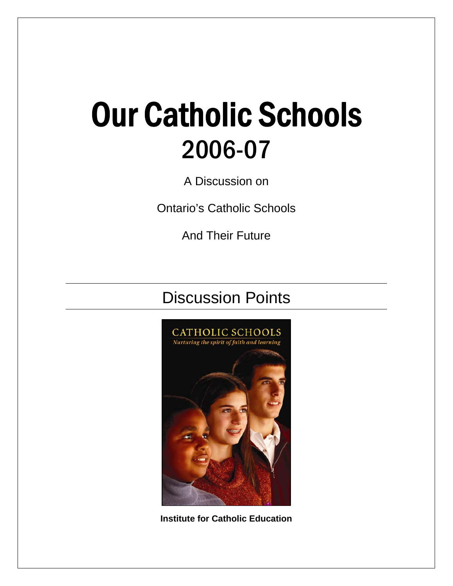# Our Catholic Schools 2006-07

A Discussion on

Ontario's Catholic Schools

And Their Future

# Discussion Points



**Institute for Catholic Education**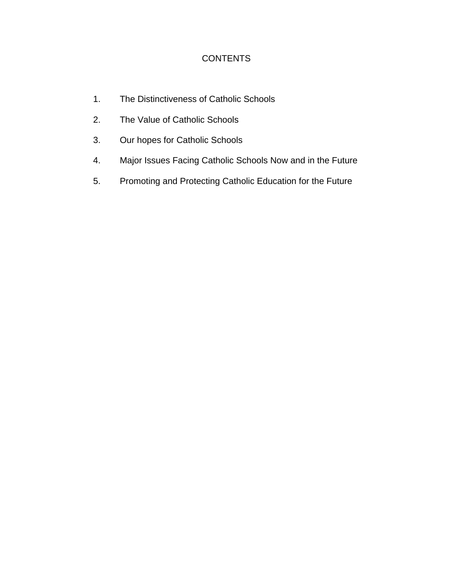#### **CONTENTS**

- 1. The Distinctiveness of Catholic Schools
- 2. The Value of Catholic Schools
- 3. Our hopes for Catholic Schools
- 4. Major Issues Facing Catholic Schools Now and in the Future
- 5. Promoting and Protecting Catholic Education for the Future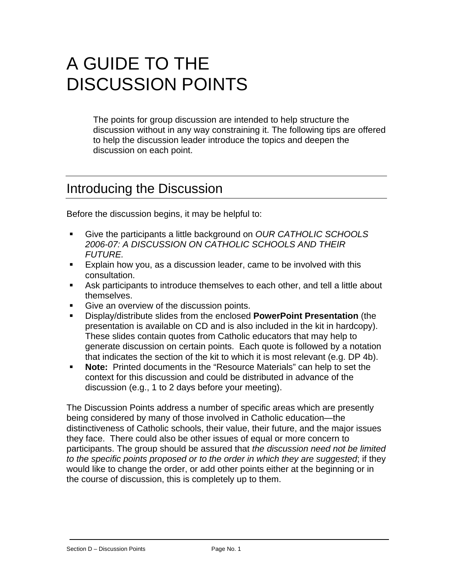# A GUIDE TO THE DISCUSSION POINTS

The points for group discussion are intended to help structure the discussion without in any way constraining it. The following tips are offered to help the discussion leader introduce the topics and deepen the discussion on each point.

### Introducing the Discussion

Before the discussion begins, it may be helpful to:

- Give the participants a little background on *OUR CATHOLIC SCHOOLS 2006-07: A DISCUSSION ON CATHOLIC SCHOOLS AND THEIR FUTURE.*
- **Explain how you, as a discussion leader, came to be involved with this** consultation.
- Ask participants to introduce themselves to each other, and tell a little about themselves.
- Give an overview of the discussion points.
- Display/distribute slides from the enclosed **PowerPoint Presentation** (the presentation is available on CD and is also included in the kit in hardcopy). These slides contain quotes from Catholic educators that may help to generate discussion on certain points. Each quote is followed by a notation that indicates the section of the kit to which it is most relevant (e.g. DP 4b).
- **Note:** Printed documents in the "Resource Materials" can help to set the context for this discussion and could be distributed in advance of the discussion (e.g., 1 to 2 days before your meeting).

The Discussion Points address a number of specific areas which are presently being considered by many of those involved in Catholic education—the distinctiveness of Catholic schools, their value, their future, and the major issues they face. There could also be other issues of equal or more concern to participants. The group should be assured that *the discussion need not be limited to the specific points proposed or to the order in which they are suggested*; if they would like to change the order, or add other points either at the beginning or in the course of discussion, this is completely up to them.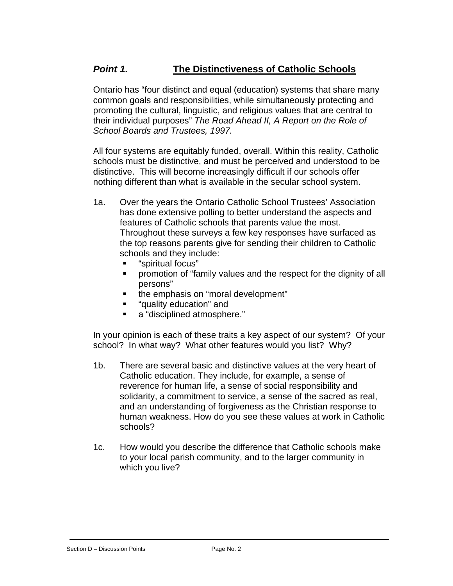#### *Point 1.* **The Distinctiveness of Catholic Schools**

Ontario has "four distinct and equal (education) systems that share many common goals and responsibilities, while simultaneously protecting and promoting the cultural, linguistic, and religious values that are central to their individual purposes" *The Road Ahead II, A Report on the Role of School Boards and Trustees, 1997.*

All four systems are equitably funded, overall. Within this reality, Catholic schools must be distinctive, and must be perceived and understood to be distinctive. This will become increasingly difficult if our schools offer nothing different than what is available in the secular school system.

- 1a. Over the years the Ontario Catholic School Trustees' Association has done extensive polling to better understand the aspects and features of Catholic schools that parents value the most. Throughout these surveys a few key responses have surfaced as the top reasons parents give for sending their children to Catholic schools and they include:
	- "spiritual focus"
	- promotion of "family values and the respect for the dignity of all persons"
	- the emphasis on "moral development"
	- "quality education" and
	- a "disciplined atmosphere."

In your opinion is each of these traits a key aspect of our system? Of your school? In what way? What other features would you list? Why?

- 1b. There are several basic and distinctive values at the very heart of Catholic education. They include, for example, a sense of reverence for human life, a sense of social responsibility and solidarity, a commitment to service, a sense of the sacred as real, and an understanding of forgiveness as the Christian response to human weakness. How do you see these values at work in Catholic schools?
- 1c. How would you describe the difference that Catholic schools make to your local parish community, and to the larger community in which you live?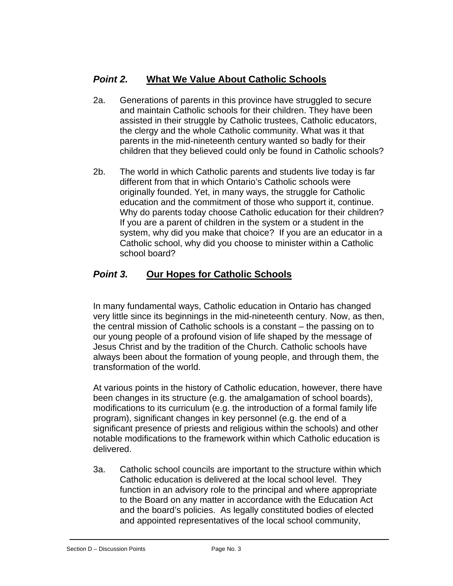#### *Point 2.* **What We Value About Catholic Schools**

- 2a. Generations of parents in this province have struggled to secure and maintain Catholic schools for their children. They have been assisted in their struggle by Catholic trustees, Catholic educators, the clergy and the whole Catholic community. What was it that parents in the mid-nineteenth century wanted so badly for their children that they believed could only be found in Catholic schools?
- 2b. The world in which Catholic parents and students live today is far different from that in which Ontario's Catholic schools were originally founded. Yet, in many ways, the struggle for Catholic education and the commitment of those who support it, continue. Why do parents today choose Catholic education for their children? If you are a parent of children in the system or a student in the system, why did you make that choice? If you are an educator in a Catholic school, why did you choose to minister within a Catholic school board?

#### *Point 3.* **Our Hopes for Catholic Schools**

In many fundamental ways, Catholic education in Ontario has changed very little since its beginnings in the mid-nineteenth century. Now, as then, the central mission of Catholic schools is a constant – the passing on to our young people of a profound vision of life shaped by the message of Jesus Christ and by the tradition of the Church. Catholic schools have always been about the formation of young people, and through them, the transformation of the world.

At various points in the history of Catholic education, however, there have been changes in its structure (e.g. the amalgamation of school boards), modifications to its curriculum (e.g. the introduction of a formal family life program), significant changes in key personnel (e.g. the end of a significant presence of priests and religious within the schools) and other notable modifications to the framework within which Catholic education is delivered.

3a. Catholic school councils are important to the structure within which Catholic education is delivered at the local school level. They function in an advisory role to the principal and where appropriate to the Board on any matter in accordance with the Education Act and the board's policies. As legally constituted bodies of elected and appointed representatives of the local school community,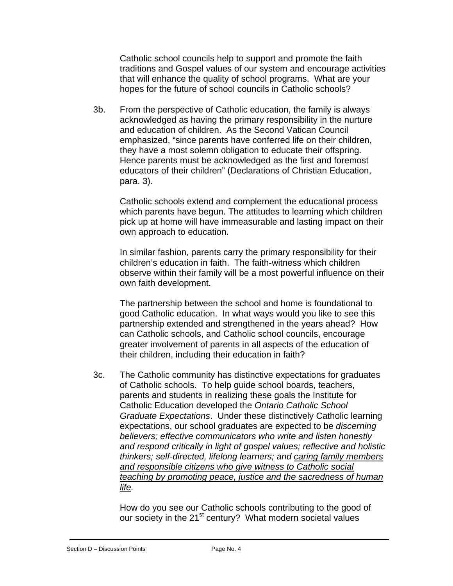Catholic school councils help to support and promote the faith traditions and Gospel values of our system and encourage activities that will enhance the quality of school programs. What are your hopes for the future of school councils in Catholic schools?

3b. From the perspective of Catholic education, the family is always acknowledged as having the primary responsibility in the nurture and education of children. As the Second Vatican Council emphasized, "since parents have conferred life on their children, they have a most solemn obligation to educate their offspring. Hence parents must be acknowledged as the first and foremost educators of their children" (Declarations of Christian Education, para. 3).

Catholic schools extend and complement the educational process which parents have begun. The attitudes to learning which children pick up at home will have immeasurable and lasting impact on their own approach to education.

In similar fashion, parents carry the primary responsibility for their children's education in faith. The faith-witness which children observe within their family will be a most powerful influence on their own faith development.

The partnership between the school and home is foundational to good Catholic education. In what ways would you like to see this partnership extended and strengthened in the years ahead? How can Catholic schools, and Catholic school councils, encourage greater involvement of parents in all aspects of the education of their children, including their education in faith?

3c. The Catholic community has distinctive expectations for graduates of Catholic schools. To help guide school boards, teachers, parents and students in realizing these goals the Institute for Catholic Education developed the *Ontario Catholic School Graduate Expectations*. Under these distinctively Catholic learning expectations, our school graduates are expected to be *discerning believers; effective communicators who write and listen honestly and respond critically in light of gospel values; reflective and holistic thinkers; self-directed, lifelong learners; and caring family members and responsible citizens who give witness to Catholic social teaching by promoting peace, justice and the sacredness of human life.* 

How do you see our Catholic schools contributing to the good of our society in the 21<sup>st</sup> century? What modern societal values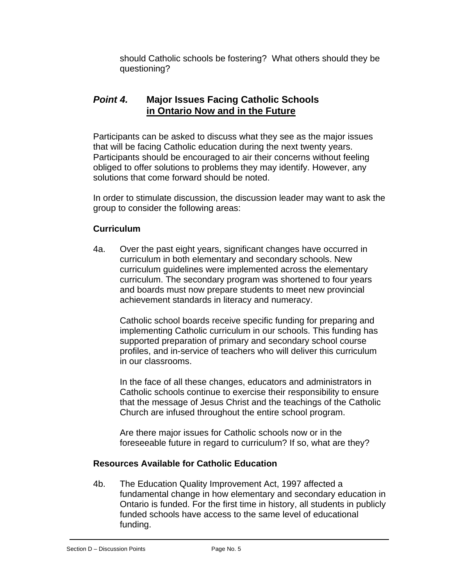should Catholic schools be fostering? What others should they be questioning?

#### *Point 4.* **Major Issues Facing Catholic Schools in Ontario Now and in the Future**

Participants can be asked to discuss what they see as the major issues that will be facing Catholic education during the next twenty years. Participants should be encouraged to air their concerns without feeling obliged to offer solutions to problems they may identify. However, any solutions that come forward should be noted.

In order to stimulate discussion, the discussion leader may want to ask the group to consider the following areas:

#### **Curriculum**

4a. Over the past eight years, significant changes have occurred in curriculum in both elementary and secondary schools. New curriculum guidelines were implemented across the elementary curriculum. The secondary program was shortened to four years and boards must now prepare students to meet new provincial achievement standards in literacy and numeracy.

Catholic school boards receive specific funding for preparing and implementing Catholic curriculum in our schools. This funding has supported preparation of primary and secondary school course profiles, and in-service of teachers who will deliver this curriculum in our classrooms.

In the face of all these changes, educators and administrators in Catholic schools continue to exercise their responsibility to ensure that the message of Jesus Christ and the teachings of the Catholic Church are infused throughout the entire school program.

Are there major issues for Catholic schools now or in the foreseeable future in regard to curriculum? If so, what are they?

#### **Resources Available for Catholic Education**

4b. The Education Quality Improvement Act, 1997 affected a fundamental change in how elementary and secondary education in Ontario is funded. For the first time in history, all students in publicly funded schools have access to the same level of educational funding.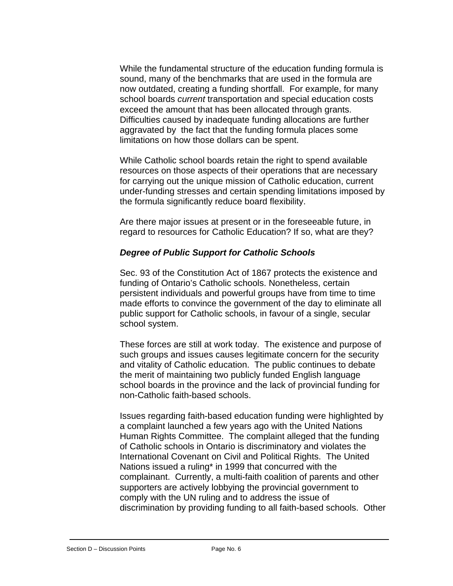While the fundamental structure of the education funding formula is sound, many of the benchmarks that are used in the formula are now outdated, creating a funding shortfall. For example, for many school boards *current* transportation and special education costs exceed the amount that has been allocated through grants. Difficulties caused by inadequate funding allocations are further aggravated by the fact that the funding formula places some limitations on how those dollars can be spent.

While Catholic school boards retain the right to spend available resources on those aspects of their operations that are necessary for carrying out the unique mission of Catholic education, current under-funding stresses and certain spending limitations imposed by the formula significantly reduce board flexibility.

Are there major issues at present or in the foreseeable future, in regard to resources for Catholic Education? If so, what are they?

#### *Degree of Public Support for Catholic Schools*

Sec. 93 of the Constitution Act of 1867 protects the existence and funding of Ontario's Catholic schools. Nonetheless, certain persistent individuals and powerful groups have from time to time made efforts to convince the government of the day to eliminate all public support for Catholic schools, in favour of a single, secular school system.

These forces are still at work today. The existence and purpose of such groups and issues causes legitimate concern for the security and vitality of Catholic education. The public continues to debate the merit of maintaining two publicly funded English language school boards in the province and the lack of provincial funding for non-Catholic faith-based schools.

Issues regarding faith-based education funding were highlighted by a complaint launched a few years ago with the United Nations Human Rights Committee. The complaint alleged that the funding of Catholic schools in Ontario is discriminatory and violates the International Covenant on Civil and Political Rights. The United Nations issued a ruling\* in 1999 that concurred with the complainant. Currently, a multi-faith coalition of parents and other supporters are actively lobbying the provincial government to comply with the UN ruling and to address the issue of discrimination by providing funding to all faith-based schools. Other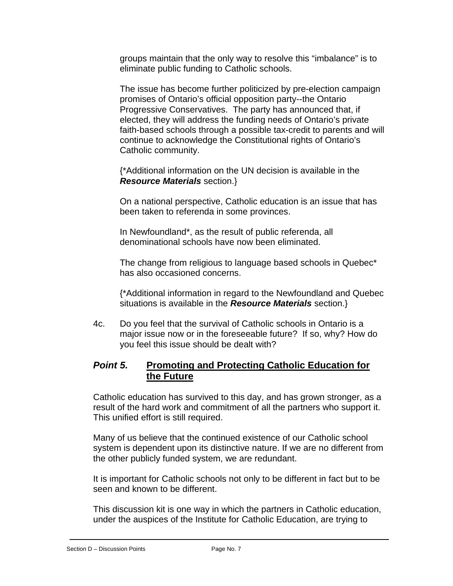groups maintain that the only way to resolve this "imbalance" is to eliminate public funding to Catholic schools.

The issue has become further politicized by pre-election campaign promises of Ontario's official opposition party--the Ontario Progressive Conservatives. The party has announced that, if elected, they will address the funding needs of Ontario's private faith-based schools through a possible tax-credit to parents and will continue to acknowledge the Constitutional rights of Ontario's Catholic community.

{\*Additional information on the UN decision is available in the *Resource Materials* section.}

On a national perspective, Catholic education is an issue that has been taken to referenda in some provinces.

In Newfoundland\*, as the result of public referenda, all denominational schools have now been eliminated.

The change from religious to language based schools in Quebec\* has also occasioned concerns.

{\*Additional information in regard to the Newfoundland and Quebec situations is available in the *Resource Materials* section.}

4c. Do you feel that the survival of Catholic schools in Ontario is a major issue now or in the foreseeable future? If so, why? How do you feel this issue should be dealt with?

#### *Point 5.* **Promoting and Protecting Catholic Education for the Future**

Catholic education has survived to this day, and has grown stronger, as a result of the hard work and commitment of all the partners who support it. This unified effort is still required.

Many of us believe that the continued existence of our Catholic school system is dependent upon its distinctive nature. If we are no different from the other publicly funded system, we are redundant.

It is important for Catholic schools not only to be different in fact but to be seen and known to be different.

This discussion kit is one way in which the partners in Catholic education, under the auspices of the Institute for Catholic Education, are trying to

Section D – Discussion Points Page No. 7